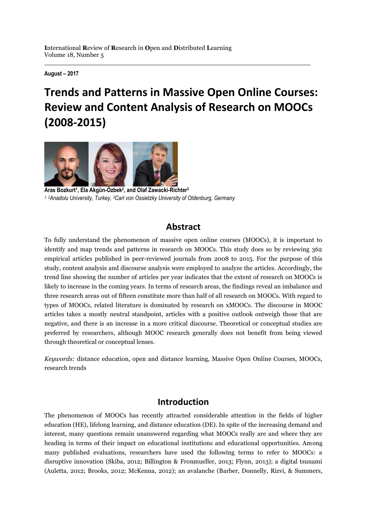**August – 2017**

# **Trends and Patterns in Massive Open Online Courses: Review and Content Analysis of Research on MOOCs (2008-2015)**



**Aras Bozkurt<sup>1</sup> , Ela Akgün-Özbek<sup>2</sup> , and Olaf Zawacki-Richter<sup>3</sup>** *1, 2Anadolu University, Turkey, 3Carl von Ossietzky University of Oldenburg, Germany*

## **Abstract**

To fully understand the phenomenon of massive open online courses (MOOCs), it is important to identify and map trends and patterns in research on MOOCs. This study does so by reviewing 362 empirical articles published in peer-reviewed journals from 2008 to 2015. For the purpose of this study, content analysis and discourse analysis were employed to analyze the articles. Accordingly, the trend line showing the number of articles per year indicates that the extent of research on MOOCs is likely to increase in the coming years. In terms of research areas, the findings reveal an imbalance and three research areas out of fifteen constitute more than half of all research on MOOCs. With regard to types of MOOCs, related literature is dominated by research on xMOOCs. The discourse in MOOC articles takes a mostly neutral standpoint, articles with a positive outlook outweigh those that are negative, and there is an increase in a more critical discourse. Theoretical or conceptual studies are preferred by researchers, although MOOC research generally does not benefit from being viewed through theoretical or conceptual lenses.

*Keywords:* distance education, open and distance learning, Massive Open Online Courses, MOOCs, research trends

## **Introduction**

The phenomenon of MOOCs has recently attracted considerable attention in the fields of higher education (HE), lifelong learning, and distance education (DE). In spite of the increasing demand and interest, many questions remain unanswered regarding what MOOCs really are and where they are heading in terms of their impact on educational institutions and educational opportunities. Among many published evaluations, researchers have used the following terms to refer to MOOCs: a disruptive innovation (Skiba, 2012; Billington & Fronmueller, 2013; Flynn, 2013); a digital tsunami (Auletta, 2012; Brooks, 2012; McKenna, 2012); an avalanche (Barber, Donnelly, Rizvi, & Summers,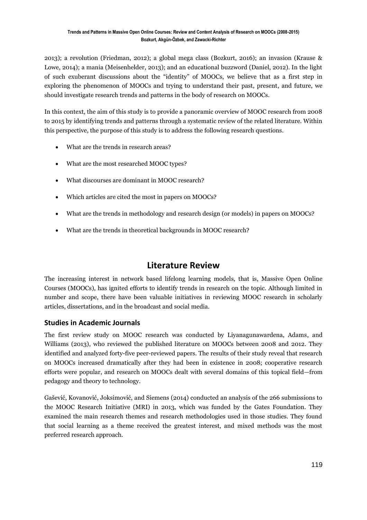2013); a revolution (Friedman, 2012); a global mega class (Bozkurt, 2016); an invasion (Krause & Lowe, 2014); a mania (Meisenhelder, 2013); and an educational buzzword (Daniel, 2012). In the light of such exuberant discussions about the "identity" of MOOCs, we believe that as a first step in exploring the phenomenon of MOOCs and trying to understand their past, present, and future, we should investigate research trends and patterns in the body of research on MOOCs.

In this context, the aim of this study is to provide a panoramic overview of MOOC research from 2008 to 2015 by identifying trends and patterns through a systematic review of the related literature. Within this perspective, the purpose of this study is to address the following research questions.

- What are the trends in research areas?
- What are the most researched MOOC types?
- What discourses are dominant in MOOC research?
- Which articles are cited the most in papers on MOOCs?
- What are the trends in methodology and research design (or models) in papers on MOOCs?
- What are the trends in theoretical backgrounds in MOOC research?

## **Literature Review**

The increasing interest in network based lifelong learning models, that is, Massive Open Online Courses (MOOCs), has ignited efforts to identify trends in research on the topic. Although limited in number and scope, there have been valuable initiatives in reviewing MOOC research in scholarly articles, dissertations, and in the broadcast and social media.

#### **Studies in Academic Journals**

The first review study on MOOC research was conducted by Liyanagunawardena, Adams, and Williams (2013), who reviewed the published literature on MOOCs between 2008 and 2012. They identified and analyzed forty-five peer-reviewed papers. The results of their study reveal that research on MOOCs increased dramatically after they had been in existence in 2008; cooperative research efforts were popular, and research on MOOCs dealt with several domains of this topical field—from pedagogy and theory to technology.

Gašević, Kovanović, Joksimović, and Siemens (2014) conducted an analysis of the 266 submissions to the MOOC Research Initiative (MRI) in 2013, which was funded by the Gates Foundation. They examined the main research themes and research methodologies used in those studies. They found that social learning as a theme received the greatest interest, and mixed methods was the most preferred research approach.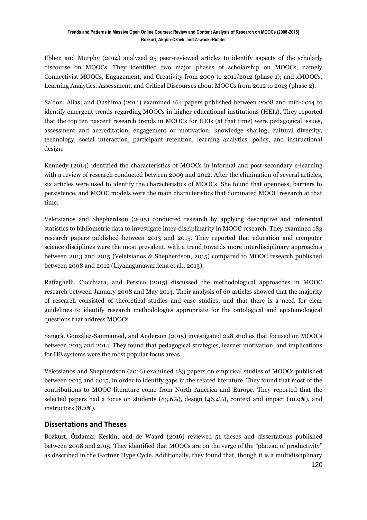Ebben and Murphy (2014) analyzed 25 peer-reviewed articles to identify aspects of the scholarly discourse on MOOCs. They identified two major phases of scholarship on MOOCs, namely Connectivist MOOCs, Engagement, and Creativity from 2009 to 2011/2012 (phase 1); and xMOOCs, Learning Analytics, Assessment, and Critical Discourses about MOOCs from 2012 to 2013 (phase 2).

Sa'don, Alias, and Ohshima (2014) examined 164 papers published between 2008 and mid-2014 to identify emergent trends regarding MOOCs in higher educational institutions (HEIs). They reported that the top ten nascent research trends in MOOCs for HEIs (at that time) were pedagogical issues, assessment and accreditation, engagement or motivation, knowledge sharing, cultural diversity, technology, social interaction, participant retention, learning analytics, policy, and instructional design.

Kennedy (2014) identified the characteristics of MOOCs in informal and post-secondary e-learning with a review of research conducted between 2009 and 2012. After the elimination of several articles, six articles were used to identify the characteristics of MOOCs. She found that openness, barriers to persistence, and MOOC models were the main characteristics that dominated MOOC research at that time.

Veletsianos and Shepherdson (2015) conducted research by applying descriptive and inferential statistics to bibliometric data to investigate inter-disciplinarity in MOOC research. They examined 183 research papers published between 2013 and 2015. They reported that education and computer science disciplines were the most prevalent, with a trend towards more interdisciplinary approaches between 2013 and 2015 (Veletsianos & Shepherdson, 2015) compared to MOOC research published between 2008 and 2012 (Liyanagunawardena et al., 2013).

Raffaghelli, Cucchiara, and Persico (2015) discussed the methodological approaches in MOOC research between January 2008 and May 2014. Their analysis of 60 articles showed that the majority of research consisted of theoretical studies and case studies; and that there is a need for clear guidelines to identify research methodologies appropriate for the ontological and epistemological questions that address MOOCs.

Sangrà, González-Sanmamed, and Anderson (2015) investigated 228 studies that focused on MOOCs between 2013 and 2014. They found that pedagogical strategies, learner motivation, and implications for HE systems were the most popular focus areas.

Veletsianos and Shepherdson (2016) examined 183 papers on empirical studies of MOOCs published between 2013 and 2015, in order to identify gaps in the related literature. They found that most of the contributions to MOOC literature come from North America and Europe. They reported that the selected papers had a focus on students (83.6%), design (46.4%), context and impact (10.9%), and instructors (8.2%).

### **Dissertations and Theses**

Bozkurt, Özdamar Keskin, and de Waard (2016) reviewed 51 theses and dissertations published between 2008 and 2015. They identified that MOOCs are on the verge of the "plateau of productivity" as described in the Gartner Hype Cycle. Additionally, they found that, though it is a multidisciplinary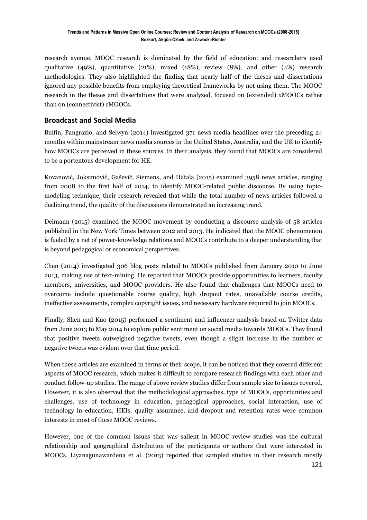research avenue, MOOC research is dominated by the field of education; and researchers used qualitative (49%), quantitative (21%), mixed (18%), review (8%), and other (4%) research methodologies. They also highlighted the finding that nearly half of the theses and dissertations ignored any possible benefits from employing theoretical frameworks by not using them. The MOOC research in the theses and dissertations that were analyzed, focused on (extended) xMOOCs rather than on (connectivist) cMOOCs.

### **Broadcast and Social Media**

Bulfin, Pangrazio, and Selwyn (2014) investigated 371 news media headlines over the preceding 24 months within mainstream news media sources in the United States, Australia, and the UK to identify how MOOCs are perceived in these sources. In their analysis, they found that MOOCs are considered to be a portentous development for HE.

Kovanović, Joksimović, Gašević, Siemens, and Hatala (2015) examined 3958 news articles, ranging from 2008 to the first half of 2014, to identify MOOC-related public discourse. By using topicmodeling technique, their research revealed that while the total number of news articles followed a declining trend, the quality of the discussions demonstrated an increasing trend.

Deimann (2015) examined the MOOC movement by conducting a discourse analysis of 58 articles published in the New York Times between 2012 and 2013. He indicated that the MOOC phenomenon is fueled by a net of power-knowledge relations and MOOCs contribute to a deeper understanding that is beyond pedagogical or economical perspectives.

Chen (2014) investigated 306 blog posts related to MOOCs published from January 2010 to June 2013, making use of text-mining. He reported that MOOCs provide opportunities to learners, faculty members, universities, and MOOC providers. He also found that challenges that MOOCs need to overcome include questionable course quality, high dropout rates, unavailable course credits, ineffective assessments, complex copyright issues, and necessary hardware required to join MOOCs.

Finally, Shen and Kuo (2015) performed a sentiment and influencer analysis based on Twitter data from June 2013 to May 2014 to explore public sentiment on social media towards MOOCs. They found that positive tweets outweighed negative tweets, even though a slight increase in the number of negative tweets was evident over that time period.

When these articles are examined in terms of their scope, it can be noticed that they covered different aspects of MOOC research, which makes it difficult to compare research findings with each other and conduct follow-up studies. The range of above review studies differ from sample size to issues covered. However, it is also observed that the methodological approaches, type of MOOCs, opportunities and challenges, use of technology in education, pedagogical approaches, social interaction, use of technology in education, HEIs, quality assurance, and dropout and retention rates were common interests in most of these MOOC reviews.

However, one of the common issues that was salient in MOOC review studies was the cultural relationship and geographical distribution of the participants or authors that were interested in MOOCs. Liyanagunawardena et al. (2013) reported that sampled studies in their research mostly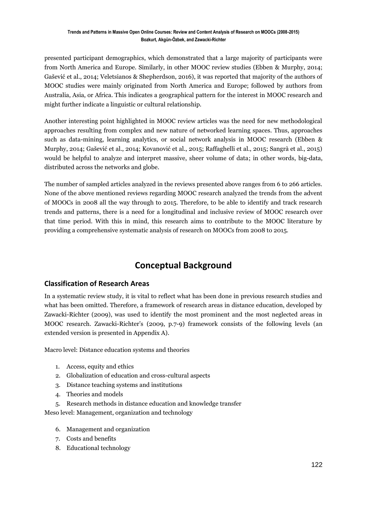presented participant demographics, which demonstrated that a large majority of participants were from North America and Europe. Similarly, in other MOOC review studies (Ebben & Murphy, 2014; Gašević et al., 2014; Veletsianos & Shepherdson, 2016), it was reported that majority of the authors of MOOC studies were mainly originated from North America and Europe; followed by authors from Australia, Asia, or Africa. This indicates a geographical pattern for the interest in MOOC research and might further indicate a linguistic or cultural relationship.

Another interesting point highlighted in MOOC review articles was the need for new methodological approaches resulting from complex and new nature of networked learning spaces. Thus, approaches such as data-mining, learning analytics, or social network analysis in MOOC research (Ebben & Murphy, 2014; Gašević et al., 2014; Kovanović et al., 2015; Raffaghelli et al., 2015; Sangrà et al., 2015) would be helpful to analyze and interpret massive, sheer volume of data; in other words, big-data, distributed across the networks and globe.

The number of sampled articles analyzed in the reviews presented above ranges from 6 to 266 articles. None of the above mentioned reviews regarding MOOC research analyzed the trends from the advent of MOOCs in 2008 all the way through to 2015. Therefore, to be able to identify and track research trends and patterns, there is a need for a longitudinal and inclusive review of MOOC research over that time period. With this in mind, this research aims to contribute to the MOOC literature by providing a comprehensive systematic analysis of research on MOOCs from 2008 to 2015.

## **Conceptual Background**

#### **Classification of Research Areas**

In a systematic review study, it is vital to reflect what has been done in previous research studies and what has been omitted. Therefore, a framework of research areas in distance education, developed by Zawacki-Richter (2009), was used to identify the most prominent and the most neglected areas in MOOC research. Zawacki-Richter's (2009, p.7-9) framework consists of the following levels (an extended version is presented in Appendix A).

Macro level: Distance education systems and theories

- 1. Access, equity and ethics
- 2. Globalization of education and cross-cultural aspects
- 3. Distance teaching systems and institutions
- 4. Theories and models
- 5. Research methods in distance education and knowledge transfer

Meso level: Management, organization and technology

- 6. Management and organization
- 7. Costs and benefits
- 8. Educational technology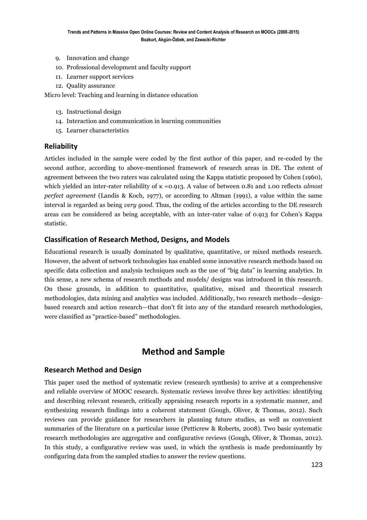- 9. Innovation and change
- 10. Professional development and faculty support
- 11. Learner support services
- 12. Quality assurance

Micro level: Teaching and learning in distance education

- 13. Instructional design
- 14. Interaction and communication in learning communities
- 15. Learner characteristics

#### **Reliability**

Articles included in the sample were coded by the first author of this paper, and re-coded by the second author, according to above-mentioned framework of research areas in DE. The extent of agreement between the two raters was calculated using the Kappa statistic proposed by Cohen (1960), which yielded an inter-rater reliability of κ =0.913. A value of between 0.81 and 1.00 reflects *almost perfect agreement* (Landis & Koch, 1977), or according to Altman (1991), a value within the same interval is regarded as being *very good*. Thus, the coding of the articles according to the DE research areas can be considered as being acceptable, with an inter-rater value of 0.913 for Cohen's Kappa statistic.

#### **Classification of Research Method, Designs, and Models**

Educational research is usually dominated by qualitative, quantitative, or mixed methods research. However, the advent of network technologies has enabled some innovative research methods based on specific data collection and analysis techniques such as the use of "big data" in learning analytics. In this sense, a new schema of research methods and models/ designs was introduced in this research. On these grounds, in addition to quantitative, qualitative, mixed and theoretical research methodologies, data mining and analytics was included. Additionally, two research methods—designbased research and action research—that don't fit into any of the standard research methodologies, were classified as "practice-based" methodologies.

### **Method and Sample**

#### **Research Method and Design**

This paper used the method of systematic review (research synthesis) to arrive at a comprehensive and reliable overview of MOOC research. Systematic reviews involve three key activities: identifying and describing relevant research, critically appraising research reports in a systematic manner, and synthesizing research findings into a coherent statement (Gough, Oliver, & Thomas, 2012). Such reviews can provide guidance for researchers in planning future studies, as well as convenient summaries of the literature on a particular issue (Petticrew & Roberts, 2008). Two basic systematic research methodologies are aggregative and configurative reviews (Gough, Oliver, & Thomas, 2012). In this study, a configurative review was used, in which the synthesis is made predominantly by configuring data from the sampled studies to answer the review questions.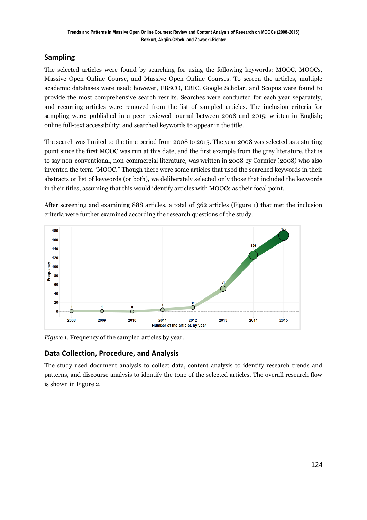### **Sampling**

The selected articles were found by searching for using the following keywords: MOOC, MOOCs, Massive Open Online Course, and Massive Open Online Courses. To screen the articles, multiple academic databases were used; however, EBSCO, ERIC, Google Scholar, and Scopus were found to provide the most comprehensive search results. Searches were conducted for each year separately, and recurring articles were removed from the list of sampled articles. The inclusion criteria for sampling were: published in a peer-reviewed journal between 2008 and 2015; written in English; online full-text accessibility; and searched keywords to appear in the title.

The search was limited to the time period from 2008 to 2015. The year 2008 was selected as a starting point since the first MOOC was run at this date, and the first example from the grey literature, that is to say non-conventional, non-commercial literature, was written in 2008 by Cormier (2008) who also invented the term "MOOC." Though there were some articles that used the searched keywords in their abstracts or list of keywords (or both), we deliberately selected only those that included the keywords in their titles, assuming that this would identify articles with MOOCs as their focal point.

After screening and examining 888 articles, a total of 362 articles (Figure 1) that met the inclusion criteria were further examined according the research questions of the study.



*Figure 1*. Frequency of the sampled articles by year.

### **Data Collection, Procedure, and Analysis**

The study used document analysis to collect data, content analysis to identify research trends and patterns, and discourse analysis to identify the tone of the selected articles. The overall research flow is shown in Figure 2.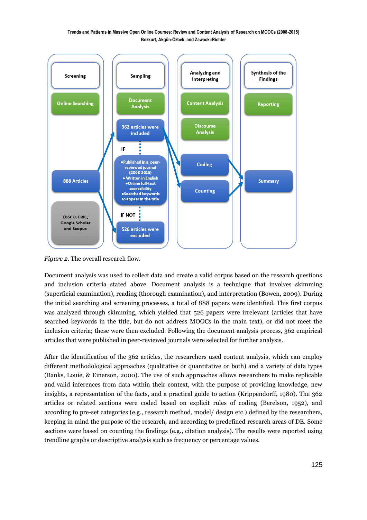

*Figure 2*. The overall research flow.

Document analysis was used to collect data and create a valid corpus based on the research questions and inclusion criteria stated above. Document analysis is a technique that involves skimming (superficial examination), reading (thorough examination), and interpretation (Bowen, 2009). During the initial searching and screening processes, a total of 888 papers were identified. This first corpus was analyzed through skimming, which yielded that 526 papers were irrelevant (articles that have searched keywords in the title, but do not address MOOCs in the main text), or did not meet the inclusion criteria; these were then excluded. Following the document analysis process, 362 empirical articles that were published in peer-reviewed journals were selected for further analysis.

After the identification of the 362 articles, the researchers used content analysis, which can employ different methodological approaches (qualitative or quantitative or both) and a variety of data types (Banks, Louie, & Einerson, 2000). The use of such approaches allows researchers to make replicable and valid inferences from data within their context, with the purpose of providing knowledge, new insights, a representation of the facts, and a practical guide to action (Krippendorff, 1980). The 362 articles or related sections were coded based on explicit rules of coding (Berelson, 1952), and according to pre-set categories (e.g., research method, model/ design etc.) defined by the researchers, keeping in mind the purpose of the research, and according to predefined research areas of DE. Some sections were based on counting the findings (e.g., citation analysis). The results were reported using trendline graphs or descriptive analysis such as frequency or percentage values.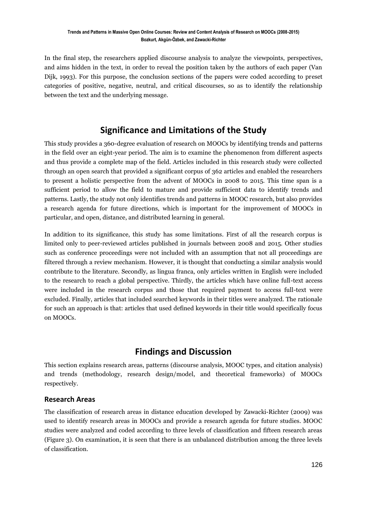In the final step, the researchers applied discourse analysis to analyze the viewpoints, perspectives, and aims hidden in the text, in order to reveal the position taken by the authors of each paper (Van Dijk, 1993). For this purpose, the conclusion sections of the papers were coded according to preset categories of positive, negative, neutral, and critical discourses, so as to identify the relationship between the text and the underlying message.

## **Significance and Limitations of the Study**

This study provides a 360-degree evaluation of research on MOOCs by identifying trends and patterns in the field over an eight-year period. The aim is to examine the phenomenon from different aspects and thus provide a complete map of the field. Articles included in this research study were collected through an open search that provided a significant corpus of 362 articles and enabled the researchers to present a holistic perspective from the advent of MOOCs in 2008 to 2015. This time span is a sufficient period to allow the field to mature and provide sufficient data to identify trends and patterns. Lastly, the study not only identifies trends and patterns in MOOC research, but also provides a research agenda for future directions, which is important for the improvement of MOOCs in particular, and open, distance, and distributed learning in general.

In addition to its significance, this study has some limitations. First of all the research corpus is limited only to peer-reviewed articles published in journals between 2008 and 2015. Other studies such as conference proceedings were not included with an assumption that not all proceedings are filtered through a review mechanism. However, it is thought that conducting a similar analysis would contribute to the literature. Secondly, as lingua franca, only articles written in English were included to the research to reach a global perspective. Thirdly, the articles which have online full-text access were included in the research corpus and those that required payment to access full-text were excluded. Finally, articles that included searched keywords in their titles were analyzed. The rationale for such an approach is that: articles that used defined keywords in their title would specifically focus on MOOCs.

## **Findings and Discussion**

This section explains research areas, patterns (discourse analysis, MOOC types, and citation analysis) and trends (methodology, research design/model, and theoretical frameworks) of MOOCs respectively.

### **Research Areas**

The classification of research areas in distance education developed by Zawacki-Richter (2009) was used to identify research areas in MOOCs and provide a research agenda for future studies. MOOC studies were analyzed and coded according to three levels of classification and fifteen research areas (Figure 3). On examination, it is seen that there is an unbalanced distribution among the three levels of classification.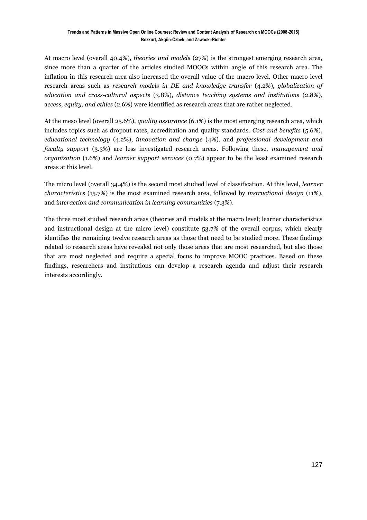At macro level (overall 40.4%), *theories and models* (27%) is the strongest emerging research area, since more than a quarter of the articles studied MOOCs within angle of this research area. The inflation in this research area also increased the overall value of the macro level. Other macro level research areas such as *research models in DE and knowledge transfer* (4.2%), *globalization of education and cross-cultural aspects* (3.8%), *distance teaching systems and institutions* (2.8%), a*ccess, equity, and ethics* (2.6%) were identified as research areas that are rather neglected.

At the meso level (overall 25.6%), *quality assurance* (6.1%) is the most emerging research area, which includes topics such as dropout rates, accreditation and quality standards. *Cost and benefits* (5.6%), *educational technology* (4.2%), *innovation and change* (4%), and *professional development and faculty support* (3.3%) are less investigated research areas. Following these, *management and organization* (1.6%) and *learner support services* (0.7%) appear to be the least examined research areas at this level.

The micro level (overall 34.4%) is the second most studied level of classification. At this level, *learner characteristics* (15.7%) is the most examined research area, followed by *instructional design* (11%), and *interaction and communication in learning communities* (7.3%).

The three most studied research areas (theories and models at the macro level; learner characteristics and instructional design at the micro level) constitute 53.7% of the overall corpus, which clearly identifies the remaining twelve research areas as those that need to be studied more. These findings related to research areas have revealed not only those areas that are most researched, but also those that are most neglected and require a special focus to improve MOOC practices. Based on these findings, researchers and institutions can develop a research agenda and adjust their research interests accordingly.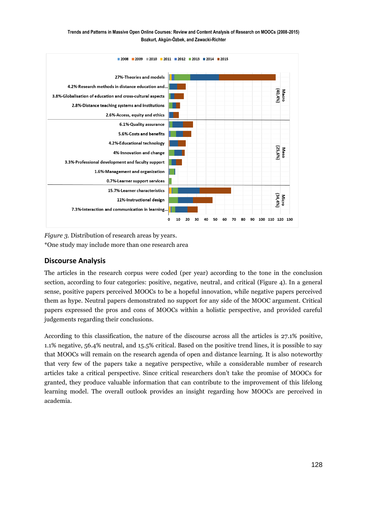

*Figure 3.* Distribution of research areas by years. \*One study may include more than one research area

### **Discourse Analysis**

The articles in the research corpus were coded (per year) according to the tone in the conclusion section, according to four categories: positive, negative, neutral, and critical (Figure 4). In a general sense, positive papers perceived MOOCs to be a hopeful innovation, while negative papers perceived them as hype. Neutral papers demonstrated no support for any side of the MOOC argument. Critical papers expressed the pros and cons of MOOCs within a holistic perspective, and provided careful judgements regarding their conclusions.

According to this classification, the nature of the discourse across all the articles is 27.1% positive, 1.1% negative, 56.4% neutral, and 15.5% critical. Based on the positive trend lines, it is possible to say that MOOCs will remain on the research agenda of open and distance learning. It is also noteworthy that very few of the papers take a negative perspective, while a considerable number of research articles take a critical perspective. Since critical researchers don't take the promise of MOOCs for granted, they produce valuable information that can contribute to the improvement of this lifelong learning model. The overall outlook provides an insight regarding how MOOCs are perceived in academia.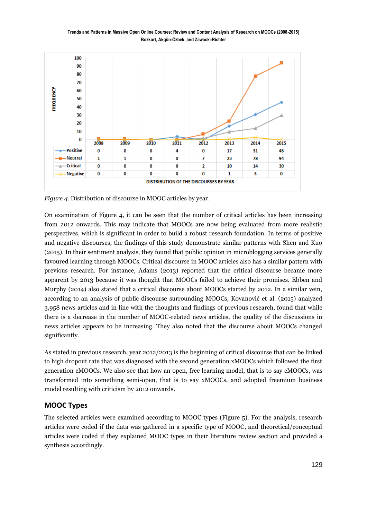

*Figure 4.* Distribution of discourse in MOOC articles by year.

On examination of Figure 4, it can be seen that the number of critical articles has been increasing from 2012 onwards. This may indicate that MOOCs are now being evaluated from more realistic perspectives, which is significant in order to build a robust research foundation. In terms of positive and negative discourses, the findings of this study demonstrate similar patterns with Shen and Kuo (2015). In their sentiment analysis, they found that public opinion in microblogging services generally favoured learning through MOOCs. Critical discourse in MOOC articles also has a similar pattern with previous research. For instance, Adams (2013) reported that the critical discourse became more apparent by 2013 because it was thought that MOOCs failed to achieve their promises. Ebben and Murphy (2014) also stated that a critical discourse about MOOCs started by 2012. In a similar vein, according to an analysis of public discourse surrounding MOOCs, Kovanović et al. (2015) analyzed 3,958 news articles and in line with the thoughts and findings of previous research, found that while there is a decrease in the number of MOOC-related news articles, the quality of the discussions in news articles appears to be increasing. They also noted that the discourse about MOOCs changed significantly.

As stated in previous research, year 2012/2013 is the beginning of critical discourse that can be linked to high dropout rate that was diagnosed with the second generation xMOOCs which followed the first generation cMOOCs. We also see that how an open, free learning model, that is to say cMOOCs, was transformed into something semi-open, that is to say xMOOCs, and adopted freemium business model resulting with criticism by 2012 onwards.

#### **MOOC Types**

The selected articles were examined according to MOOC types (Figure 5). For the analysis, research articles were coded if the data was gathered in a specific type of MOOC, and theoretical/conceptual articles were coded if they explained MOOC types in their literature review section and provided a synthesis accordingly.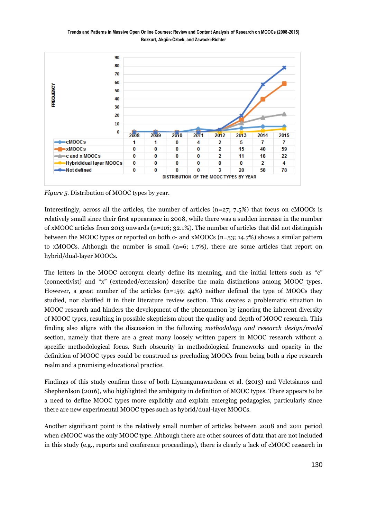

*Figure 5.* Distribution of MOOC types by year.

Interestingly, across all the articles, the number of articles  $(n=27; 7.5%)$  that focus on cMOOCs is relatively small since their first appearance in 2008, while there was a sudden increase in the number of xMOOC articles from 2013 onwards (n=116;  $32.1\%$ ). The number of articles that did not distinguish between the MOOC types or reported on both c- and xMOOCs (n=53; 14.7%) shows a similar pattern to xMOOCs. Although the number is small  $(n=6; 1.7%)$ , there are some articles that report on hybrid/dual-layer MOOCs.

The letters in the MOOC acronym clearly define its meaning, and the initial letters such as "c" (connectivist) and "x" (extended/extension) describe the main distinctions among MOOC types. However, a great number of the articles (n=159; 44%) neither defined the type of MOOCs they studied, nor clarified it in their literature review section. This creates a problematic situation in MOOC research and hinders the development of the phenomenon by ignoring the inherent diversity of MOOC types, resulting in possible skepticism about the quality and depth of MOOC research. This finding also aligns with the discussion in the following *methodology and research design/model*  section, namely that there are a great many loosely written papers in MOOC research without a specific methodological focus. Such obscurity in methodological frameworks and opacity in the definition of MOOC types could be construed as precluding MOOCs from being both a ripe research realm and a promising educational practice.

Findings of this study confirm those of both Liyanagunawardena et al. (2013) and Veletsianos and Shepherdson (2016), who highlighted the ambiguity in definition of MOOC types. There appears to be a need to define MOOC types more explicitly and explain emerging pedagogies, particularly since there are new experimental MOOC types such as hybrid/dual-layer MOOCs.

Another significant point is the relatively small number of articles between 2008 and 2011 period when cMOOC was the only MOOC type. Although there are other sources of data that are not included in this study (e.g., reports and conference proceedings), there is clearly a lack of cMOOC research in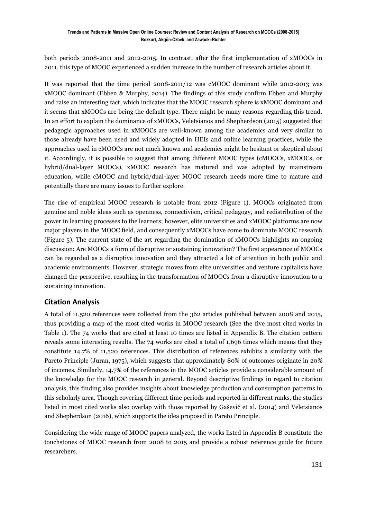both periods 2008-2011 and 2012-2015. In contrast, after the first implementation of xMOOCs in 2011, this type of MOOC experienced a sudden increase in the number of research articles about it.

It was reported that the time period 2008-2011/12 was cMOOC dominant while 2012-2013 was xMOOC dominant (Ebben & Murphy, 2014). The findings of this study confirm Ebben and Murphy and raise an interesting fact, which indicates that the MOOC research sphere is xMOOC dominant and it seems that xMOOCs are being the default type. There might be many reasons regarding this trend. In an effort to explain the dominance of xMOOCs, Veletsianos and Shepherdson (2015) suggested that pedagogic approaches used in xMOOCs are well-known among the academics and very similar to those already have been used and widely adopted in HEIs and online learning practices, while the approaches used in cMOOCs are not much known and academics might be hesitant or skeptical about it. Accordingly, it is possible to suggest that among different MOOC types (cMOOCs, xMOOCs, or hybrid/dual-layer MOOCs), xMOOC research has matured and was adopted by mainstream education, while cMOOC and hybrid/dual-layer MOOC research needs more time to mature and potentially there are many issues to further explore.

The rise of empirical MOOC research is notable from 2012 (Figure 1). MOOCs originated from genuine and noble ideas such as openness, connectivism, critical pedagogy, and redistribution of the power in learning processes to the learners; however, elite universities and xMOOC platforms are now major players in the MOOC field, and consequently xMOOCs have come to dominate MOOC research (Figure 5). The current state of the art regarding the domination of xMOOCs highlights an ongoing discussion: Are MOOCs a form of disruptive or sustaining innovation? The first appearance of MOOCs can be regarded as a disruptive innovation and they attracted a lot of attention in both public and academic environments. However, strategic moves from elite universities and venture capitalists have changed the perspective, resulting in the transformation of MOOCs from a disruptive innovation to a sustaining innovation.

### **Citation Analysis**

A total of 11,520 references were collected from the 362 articles published between 2008 and 2015, thus providing a map of the most cited works in MOOC research (See the five most cited works in Table 1). The 74 works that are cited at least 10 times are listed in Appendix B. The citation pattern reveals some interesting results. The 74 works are cited a total of 1,696 times which means that they constitute 14.7% of 11,520 references. This distribution of references exhibits a similarity with the Pareto Principle (Juran, 1975), which suggests that approximately 80% of outcomes originate in 20% of incomes. Similarly, 14.7% of the references in the MOOC articles provide a considerable amount of the knowledge for the MOOC research in general. Beyond descriptive findings in regard to citation analysis, this finding also provides insights about knowledge production and consumption patterns in this scholarly area. Though covering different time periods and reported in different ranks, the studies listed in most cited works also overlap with those reported by Gašević et al. (2014) and Veletsianos and Shepherdson (2016), which supports the idea proposed in Pareto Principle.

Considering the wide range of MOOC papers analyzed, the works listed in Appendix B constitute the touchstones of MOOC research from 2008 to 2015 and provide a robust reference guide for future researchers.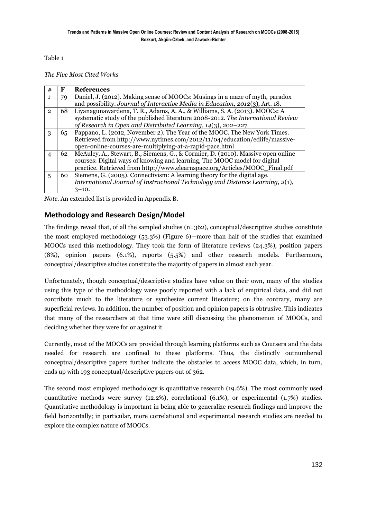Table 1

*The Five Most Cited Works* 

| #              | F  | <b>References</b>                                                                 |
|----------------|----|-----------------------------------------------------------------------------------|
| $\mathbf{1}$   | 79 | Daniel, J. (2012). Making sense of MOOCs: Musings in a maze of myth, paradox      |
|                |    | and possibility. Journal of Interactive Media in Education, 2012(3), Art. 18.     |
| $\mathbf{2}$   | 68 | Liyanagunawardena, T. R., Adams, A. A., & Williams, S. A. (2013). MOOCs: A        |
|                |    | systematic study of the published literature 2008-2012. The International Review  |
|                |    | of Research in Open and Distributed Learning, 14(3), 202–227.                     |
| 3              | 65 | Pappano, L. (2012, November 2). The Year of the MOOC. The New York Times.         |
|                |    | Retrieved from http://www.nytimes.com/2012/11/04/education/edlife/massive-        |
|                |    | open-online-courses-are-multiplying-at-a-rapid-pace.html                          |
| $\overline{4}$ | 62 | McAuley, A., Stewart, B., Siemens, G., & Cormier, D. (2010). Massive open online  |
|                |    | courses: Digital ways of knowing and learning, The MOOC model for digital         |
|                |    | practice. Retrieved from http://www.elearnspace.org/Articles/MOOC_Final.pdf       |
| 5              | 60 | Siemens, G. (2005). Connectivism: A learning theory for the digital age.          |
|                |    | International Journal of Instructional Technology and Distance Learning, $2(1)$ , |
|                |    | $3 - 10.$                                                                         |

*Note*. An extended list is provided in Appendix B.

#### **Methodology and Research Design/Model**

The findings reveal that, of all the sampled studies  $(n=362)$ , conceptual/descriptive studies constitute the most employed methodology (53.3%) (Figure 6)—more than half of the studies that examined MOOCs used this methodology. They took the form of literature reviews (24.3%), position papers (8%), opinion papers (6.1%), reports (5.5%) and other research models. Furthermore, conceptual/descriptive studies constitute the majority of papers in almost each year.

Unfortunately, though conceptual/descriptive studies have value on their own, many of the studies using this type of the methodology were poorly reported with a lack of empirical data, and did not contribute much to the literature or synthesize current literature; on the contrary, many are superficial reviews. In addition, the number of position and opinion papers is obtrusive. This indicates that many of the researchers at that time were still discussing the phenomenon of MOOCs, and deciding whether they were for or against it.

Currently, most of the MOOCs are provided through learning platforms such as Coursera and the data needed for research are confined to these platforms. Thus, the distinctly outnumbered conceptual/descriptive papers further indicate the obstacles to access MOOC data, which, in turn, ends up with 193 conceptual/descriptive papers out of 362.

The second most employed methodology is quantitative research (19.6%). The most commonly used quantitative methods were survey (12.2%), correlational (6.1%), or experimental (1.7%) studies. Quantitative methodology is important in being able to generalize research findings and improve the field horizontally; in particular, more correlational and experimental research studies are needed to explore the complex nature of MOOCs.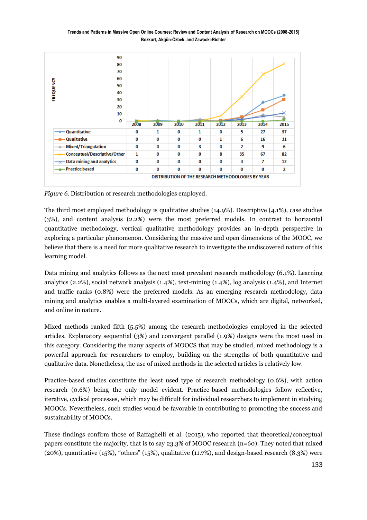

*Figure 6.* Distribution of research methodologies employed.

The third most employed methodology is qualitative studies (14.9%). Descriptive (4.1%), case studies (3%), and content analysis (2.2%) were the most preferred models. In contrast to horizontal quantitative methodology, vertical qualitative methodology provides an in-depth perspective in exploring a particular phenomenon. Considering the massive and open dimensions of the MOOC, we believe that there is a need for more qualitative research to investigate the undiscovered nature of this learning model.

Data mining and analytics follows as the next most prevalent research methodology (6.1%). Learning analytics (2.2%), social network analysis (1.4%), text-mining (1.4%), log analysis (1.4%), and Internet and traffic ranks (0.8%) were the preferred models. As an emerging research methodology, data mining and analytics enables a multi-layered examination of MOOCs, which are digital, networked, and online in nature.

Mixed methods ranked fifth (5.5%) among the research methodologies employed in the selected articles. Explanatory sequential (3%) and convergent parallel (1.9%) designs were the most used in this category. Considering the many aspects of MOOCS that may be studied, mixed methodology is a powerful approach for researchers to employ, building on the strengths of both quantitative and qualitative data. Nonetheless, the use of mixed methods in the selected articles is relatively low.

Practice-based studies constitute the least used type of research methodology (0.6%), with action research (0.6%) being the only model evident. Practice-based methodologies follow reflective, iterative, cyclical processes, which may be difficult for individual researchers to implement in studying MOOCs. Nevertheless, such studies would be favorable in contributing to promoting the success and sustainability of MOOCs.

These findings confirm those of Raffaghelli et al. (2015), who reported that theoretical/conceptual papers constitute the majority, that is to say 23.3% of MOOC research (n=60). They noted that mixed (20%), quantitative (15%), "others" (15%), qualitative (11.7%), and design-based research (8.3%) were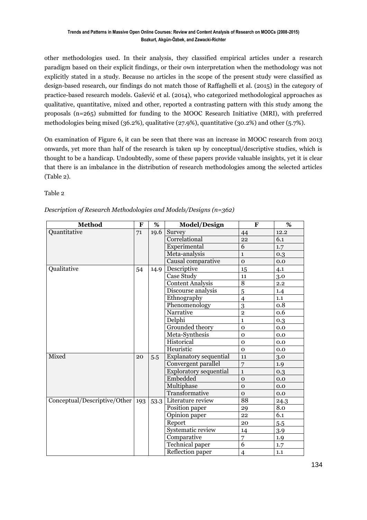other methodologies used. In their analysis, they classified empirical articles under a research paradigm based on their explicit findings, or their own interpretation when the methodology was not explicitly stated in a study. Because no articles in the scope of the present study were classified as design-based research, our findings do not match those of Raffaghelli et al. (2015) in the category of practice-based research models. Gašević et al. (2014), who categorized methodological approaches as qualitative, quantitative, mixed and other, reported a contrasting pattern with this study among the proposals (n=265) submitted for funding to the MOOC Research Initiative (MRI), with preferred methodologies being mixed (36.2%), qualitative (27.9%), quantitative (30.2%) and other (5.7%).

On examination of Figure 6, it can be seen that there was an increase in MOOC research from 2013 onwards, yet more than half of the research is taken up by conceptual/descriptive studies, which is thought to be a handicap. Undoubtedly, some of these papers provide valuable insights, yet it is clear that there is an imbalance in the distribution of research methodologies among the selected articles (Table 2).

Table 2

| <b>Method</b>                      | F  | %    | <b>Model/Design</b>           | $\mathbf{F}$   | %                |
|------------------------------------|----|------|-------------------------------|----------------|------------------|
| Quantitative                       | 71 | 19.6 | Survey                        | 44             | 12.2             |
|                                    |    |      | Correlational                 | 22             | 6.1              |
|                                    |    |      | Experimental                  | $\overline{6}$ | 1.7              |
|                                    |    |      | Meta-analysis                 | $\mathbf{1}$   | 0.3              |
|                                    |    |      | Causal comparative            | $\mathbf{O}$   | 0.0              |
| Qualitative                        | 54 | 14.9 | Descriptive                   | 15             | 4.1              |
|                                    |    |      | Case Study                    | 11             | 3.0              |
|                                    |    |      | <b>Content Analysis</b>       | $\overline{8}$ | 2.2              |
|                                    |    |      | Discourse analysis            | 5              | 1.4              |
|                                    |    |      | Ethnography                   | $\overline{4}$ | 1.1              |
|                                    |    |      | Phenomenology                 | 3              | 0.8              |
|                                    |    |      | Narrative                     | $\overline{2}$ | 0.6              |
|                                    |    |      | Delphi                        | $\mathbf{1}$   | 0.3              |
|                                    |    |      | Grounded theory               | $\mathbf{O}$   | 0.0              |
|                                    |    |      | Meta-Synthesis                | $\mathbf{O}$   | 0.0              |
|                                    |    |      | Historical                    | $\mathbf{o}$   | 0.0              |
|                                    |    |      | Heuristic                     | $\Omega$       | 0.0              |
| Mixed                              | 20 | 5.5  | <b>Explanatory sequential</b> | 11             | 3.0              |
|                                    |    |      | Convergent parallel           | $\overline{7}$ | 1.9 <sub>1</sub> |
|                                    |    |      | <b>Exploratory sequential</b> | $\mathbf{1}$   | 0.3              |
|                                    |    |      | Embedded                      | $\mathbf{o}$   | 0.0              |
|                                    |    |      | Multiphase                    | $\mathbf 0$    | 0.0              |
|                                    |    |      | Transformative                | $\mathbf{O}$   | 0.0              |
| Conceptual/Descriptive/Other   193 |    | 53.3 | Literature review             | 88             | 24.3             |
|                                    |    |      | Position paper                | 29             | 8.0              |
|                                    |    |      | Opinion paper                 | 22             | 6.1              |
|                                    |    |      | Report                        | 20             | 5.5              |
|                                    |    |      | Systematic review             | 14             | 3.9              |
|                                    |    |      | Comparative                   | 7              | 1.9              |
|                                    |    |      | <b>Technical paper</b>        | 6              | 1.7              |
|                                    |    |      | Reflection paper              | $\overline{4}$ | 1.1              |

#### *Description of Research Methodologies and Models/Designs (n=362)*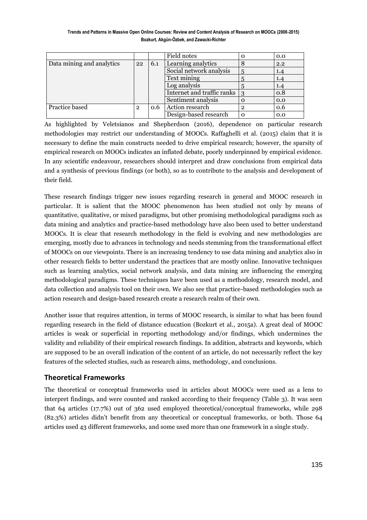**Trends and Patterns in Massive Open Online Courses: Review and Content Analysis of Research on MOOCs (2008-2015) Bozkurt, Akgün-Özbek, and Zawacki-Richter**

|                           |   |     | Field notes                    |   | 0.0 |
|---------------------------|---|-----|--------------------------------|---|-----|
| Data mining and analytics |   | 6.1 | Learning analytics             |   | 2.2 |
|                           |   |     | Social network analysis        |   | 1.4 |
|                           |   |     | Text mining                    |   | 1.4 |
|                           |   |     | Log analysis                   |   | 1.4 |
|                           |   |     | Internet and traffic ranks   3 |   | 0.8 |
|                           |   |     | Sentiment analysis             |   | 0.0 |
| Practice based            | 2 | 0.6 | Action research                | າ | 0.6 |
|                           |   |     | Design-based research          |   | 0.0 |

As highlighted by Veletsianos and Shepherdson (2016), dependence on particular research methodologies may restrict our understanding of MOOCs. Raffaghelli et al. (2015) claim that it is necessary to define the main constructs needed to drive empirical research; however, the sparsity of empirical research on MOOCs indicates an inflated debate, poorly underpinned by empirical evidence. In any scientific endeavour, researchers should interpret and draw conclusions from empirical data and a synthesis of previous findings (or both), so as to contribute to the analysis and development of their field.

These research findings trigger new issues regarding research in general and MOOC research in particular. It is salient that the MOOC phenomenon has been studied not only by means of quantitative, qualitative, or mixed paradigms, but other promising methodological paradigms such as data mining and analytics and practice-based methodology have also been used to better understand MOOCs. It is clear that research methodology in the field is evolving and new methodologies are emerging, mostly due to advances in technology and needs stemming from the transformational effect of MOOCs on our viewpoints. There is an increasing tendency to use data mining and analytics also in other research fields to better understand the practices that are mostly online. Innovative techniques such as learning analytics, social network analysis, and data mining are influencing the emerging methodological paradigms. These techniques have been used as a methodology, research model, and data collection and analysis tool on their own. We also see that practice-based methodologies such as action research and design-based research create a research realm of their own.

Another issue that requires attention, in terms of MOOC research, is similar to what has been found regarding research in the field of distance education (Bozkurt et al., 2015a). A great deal of MOOC articles is weak or superficial in reporting methodology and/or findings, which undermines the validity and reliability of their empirical research findings. In addition, abstracts and keywords, which are supposed to be an overall indication of the content of an article, do not necessarily reflect the key features of the selected studies, such as research aims, methodology, and conclusions.

### **Theoretical Frameworks**

The theoretical or conceptual frameworks used in articles about MOOCs were used as a lens to interpret findings, and were counted and ranked according to their frequency (Table 3). It was seen that 64 articles (17.7%) out of 362 used employed theoretical/conceptual frameworks, while 298 (82.3%) articles didn't benefit from any theoretical or conceptual frameworks, or both. Those 64 articles used 43 different frameworks, and some used more than one framework in a single study.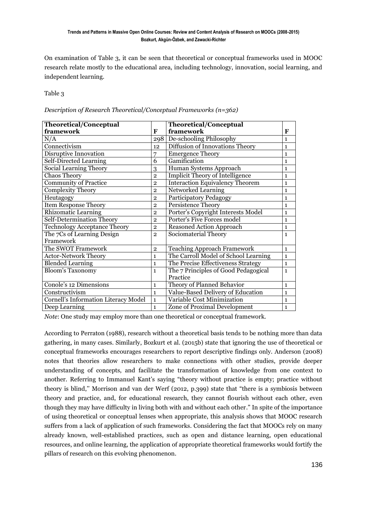On examination of Table 3, it can be seen that theoretical or conceptual frameworks used in MOOC research relate mostly to the educational area, including technology, innovation, social learning, and independent learning.

Table 3

*Description of Research Theoretical/Conceptual Frameworks (n=362)*

| Theoretical/Conceptual                      |                | <b>Theoretical/Conceptual</b>          |              |
|---------------------------------------------|----------------|----------------------------------------|--------------|
| framework                                   | F              | framework                              | F            |
| N/A                                         | 298            | De-schooling Philosophy                | $\mathbf{1}$ |
| Connectivism                                | 12             | Diffusion of Innovations Theory        | $\mathbf{1}$ |
| Disruptive Innovation                       | 7              | <b>Emergence Theory</b>                | $\mathbf{1}$ |
| <b>Self-Directed Learning</b>               | 6              | Gamification                           | $\mathbf{1}$ |
| <b>Social Learning Theory</b>               | 3              | Human Systems Approach                 | $\mathbf{1}$ |
| <b>Chaos Theory</b>                         | $\overline{2}$ | <b>Implicit Theory of Intelligence</b> | $\mathbf{1}$ |
| <b>Community of Practice</b>                | $\overline{2}$ | <b>Interaction Equivalency Theorem</b> | $\mathbf{1}$ |
| <b>Complexity Theory</b>                    | $\overline{2}$ | Networked Learning                     | $\mathbf{1}$ |
| Heutagogy                                   | $\overline{2}$ | Participatory Pedagogy                 | $\mathbf{1}$ |
| <b>Item Response Theory</b>                 | $\overline{2}$ | <b>Persistence Theory</b>              | $\mathbf{1}$ |
| <b>Rhizomatic Learning</b>                  | $\overline{2}$ | Porter's Copyright Interests Model     | $\mathbf{1}$ |
| Self-Determination Theory                   | $\overline{2}$ | Porter's Five Forces model             | $\mathbf{1}$ |
| <b>Technology Acceptance Theory</b>         | $\overline{2}$ | Reasoned Action Approach               | $\mathbf{1}$ |
| The 7Cs of Learning Design                  | $\overline{2}$ | Sociomaterial Theory                   | $\mathbf{1}$ |
| Framework                                   |                |                                        |              |
| The SWOT Framework                          | $\overline{2}$ | <b>Teaching Approach Framework</b>     | $\mathbf{1}$ |
| <b>Actor-Network Theory</b>                 | $\mathbf{1}$   | The Carroll Model of School Learning   | $\mathbf{1}$ |
| <b>Blended Learning</b>                     | $\mathbf{1}$   | The Precise Effectiveness Strategy     | $\mathbf 1$  |
| <b>Bloom's Taxonomy</b>                     | $\mathbf{1}$   | The 7 Principles of Good Pedagogical   | $\mathbf{1}$ |
|                                             |                | Practice                               |              |
| Conole's 12 Dimensions                      | $\mathbf{1}$   | Theory of Planned Behavior             | $\mathbf{1}$ |
| Constructivism                              | $\mathbf{1}$   | Value-Based Delivery of Education      | $\mathbf{1}$ |
| <b>Cornell's Information Literacy Model</b> | $\mathbf{1}$   | Variable Cost Minimization             | $\mathbf{1}$ |
| Deep Learning                               | $\mathbf{1}$   | Zone of Proximal Development           | $\mathbf{1}$ |

*Note*: One study may employ more than one theoretical or conceptual framework.

According to Perraton (1988), research without a theoretical basis tends to be nothing more than data gathering, in many cases. Similarly, Bozkurt et al. (2015b) state that ignoring the use of theoretical or conceptual frameworks encourages researchers to report descriptive findings only. Anderson (2008) notes that theories allow researchers to make connections with other studies, provide deeper understanding of concepts, and facilitate the transformation of knowledge from one context to another. Referring to Immanuel Kant's saying "theory without practice is empty; practice without theory is blind,'' Morrison and van der Werf (2012, p.399) state that "there is a symbiosis between theory and practice, and, for educational research, they cannot flourish without each other, even though they may have difficulty in living both with and without each other." In spite of the importance of using theoretical or conceptual lenses when appropriate, this analysis shows that MOOC research suffers from a lack of application of such frameworks. Considering the fact that MOOCs rely on many already known, well-established practices, such as open and distance learning, open educational resources, and online learning, the application of appropriate theoretical frameworks would fortify the pillars of research on this evolving phenomenon.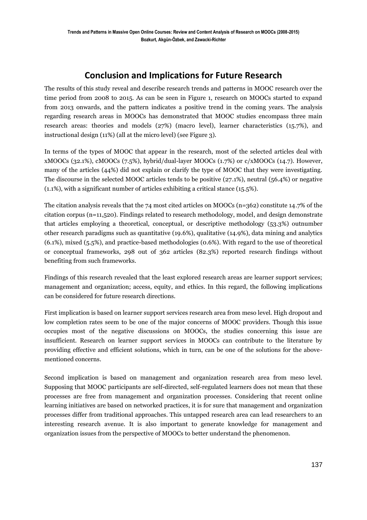## **Conclusion and Implications for Future Research**

The results of this study reveal and describe research trends and patterns in MOOC research over the time period from 2008 to 2015. As can be seen in Figure 1, research on MOOCs started to expand from 2013 onwards, and the pattern indicates a positive trend in the coming years. The analysis regarding research areas in MOOCs has demonstrated that MOOC studies encompass three main research areas: theories and models (27%) (macro level), learner characteristics (15.7%), and instructional design (11%) (all at the micro level) (see Figure 3).

In terms of the types of MOOC that appear in the research, most of the selected articles deal with xMOOCs (32.1%), cMOOCs (7.5%), hybrid/dual-layer MOOCs (1.7%) or c/xMOOCs (14.7). However, many of the articles (44%) did not explain or clarify the type of MOOC that they were investigating. The discourse in the selected MOOC articles tends to be positive (27.1%), neutral (56.4%) or negative (1.1%), with a significant number of articles exhibiting a critical stance (15.5%).

The citation analysis reveals that the 74 most cited articles on MOOCs (n=362) constitute 14.7% of the citation corpus (n=11,520). Findings related to research methodology, model, and design demonstrate that articles employing a theoretical, conceptual, or descriptive methodology (53.3%) outnumber other research paradigms such as quantitative (19.6%), qualitative (14.9%), data mining and analytics (6.1%), mixed (5.5%), and practice-based methodologies (0.6%). With regard to the use of theoretical or conceptual frameworks, 298 out of 362 articles (82.3%) reported research findings without benefiting from such frameworks.

Findings of this research revealed that the least explored research areas are learner support services; management and organization; access, equity, and ethics. In this regard, the following implications can be considered for future research directions.

First implication is based on learner support services research area from meso level. High dropout and low completion rates seem to be one of the major concerns of MOOC providers. Though this issue occupies most of the negative discussions on MOOCs, the studies concerning this issue are insufficient. Research on learner support services in MOOCs can contribute to the literature by providing effective and efficient solutions, which in turn, can be one of the solutions for the abovementioned concerns.

Second implication is based on management and organization research area from meso level. Supposing that MOOC participants are self-directed, self-regulated learners does not mean that these processes are free from management and organization processes. Considering that recent online learning initiatives are based on networked practices, it is for sure that management and organization processes differ from traditional approaches. This untapped research area can lead researchers to an interesting research avenue. It is also important to generate knowledge for management and organization issues from the perspective of MOOCs to better understand the phenomenon.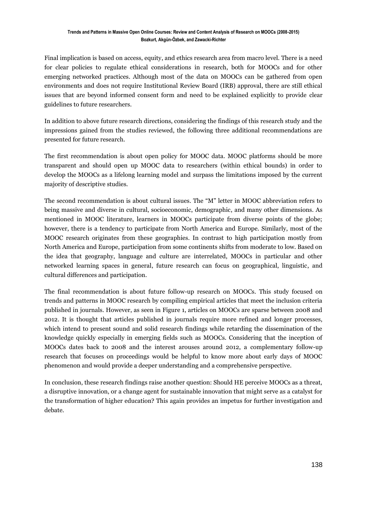Final implication is based on access, equity, and ethics research area from macro level. There is a need for clear policies to regulate ethical considerations in research, both for MOOCs and for other emerging networked practices. Although most of the data on MOOCs can be gathered from open environments and does not require Institutional Review Board (IRB) approval, there are still ethical issues that are beyond informed consent form and need to be explained explicitly to provide clear guidelines to future researchers.

In addition to above future research directions, considering the findings of this research study and the impressions gained from the studies reviewed, the following three additional recommendations are presented for future research.

The first recommendation is about open policy for MOOC data. MOOC platforms should be more transparent and should open up MOOC data to researchers (within ethical bounds) in order to develop the MOOCs as a lifelong learning model and surpass the limitations imposed by the current majority of descriptive studies.

The second recommendation is about cultural issues. The "M" letter in MOOC abbreviation refers to being massive and diverse in cultural, socioeconomic, demographic, and many other dimensions. As mentioned in MOOC literature, learners in MOOCs participate from diverse points of the globe; however, there is a tendency to participate from North America and Europe. Similarly, most of the MOOC research originates from these geographies. In contrast to high participation mostly from North America and Europe, participation from some continents shifts from moderate to low. Based on the idea that geography, language and culture are interrelated, MOOCs in particular and other networked learning spaces in general, future research can focus on geographical, linguistic, and cultural differences and participation.

The final recommendation is about future follow-up research on MOOCs. This study focused on trends and patterns in MOOC research by compiling empirical articles that meet the inclusion criteria published in journals. However, as seen in Figure 1, articles on MOOCs are sparse between 2008 and 2012. It is thought that articles published in journals require more refined and longer processes, which intend to present sound and solid research findings while retarding the dissemination of the knowledge quickly especially in emerging fields such as MOOCs. Considering that the inception of MOOCs dates back to 2008 and the interest arouses around 2012, a complementary follow-up research that focuses on proceedings would be helpful to know more about early days of MOOC phenomenon and would provide a deeper understanding and a comprehensive perspective.

In conclusion, these research findings raise another question: Should HE perceive MOOCs as a threat, a disruptive innovation, or a change agent for sustainable innovation that might serve as a catalyst for the transformation of higher education? This again provides an impetus for further investigation and debate.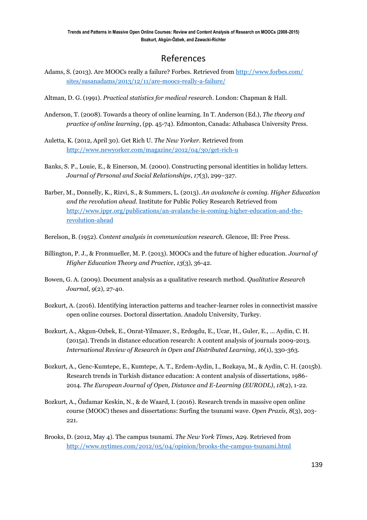## References

- Adams, S. (2013). Are MOOCs really a failure? Forbes. Retrieved from [http://www.forbes.com/](http://www.forbes.com/%20sites/susanadams/2013/12/11/are-moocs-really-a-failure/)  [sites/susanadams/2013/12/11/are-moocs-really-a-failure/](http://www.forbes.com/%20sites/susanadams/2013/12/11/are-moocs-really-a-failure/)
- Altman, D. G. (1991). *Practical statistics for medical research*. London: Chapman & Hall.
- Anderson, T. (2008). Towards a theory of online learning. In T. Anderson (Ed.), *The theory and practice of online learning*, (pp. 45-74). Edmonton, Canada: Athabasca University Press.
- Auletta, K. (2012, April 30). Get Rich U. *The New Yorker.* Retrieved fro[m](http://www.newyorker.com/magazine/2012/04/30/get-rich-u) <http://www.newyorker.com/magazine/2012/04/30/get-rich-u>
- Banks, S. P., Louie, E., & Einerson, M. (2000). Constructing personal identities in holiday letters. *Journal of Personal and Social Relationships*, *17*(3), 299–327.
- Barber, M., Donnelly, K., Rizvi, S., & Summers, L. (2013). *An avalanche is coming. Higher Education and the revolution ahead*. Institute for Public Policy Research Retrieved from [http://www.ippr.org/publications/an-avalanche-is-coming-higher-education-and-the](http://www.ippr.org/publications/an-avalanche-is-coming-higher-education-and-the-revolution-ahead)[revolution-ahead](http://www.ippr.org/publications/an-avalanche-is-coming-higher-education-and-the-revolution-ahead)
- Berelson, B. (1952). *Content analysis in communication research.* Glencoe, Ill: Free Press.
- Billington, P. J., & Fronmueller, M. P. (2013). MOOCs and the future of higher education. *Journal of Higher Education Theory and Practice*, *13*(3), 36-42.
- Bowen, G. A. (2009). Document analysis as a qualitative research method. *Qualitative Research Journal*, *9*(2), 27-40.
- Bozkurt, A. (2016). Identifying interaction patterns and teacher-learner roles in connectivist massive open online courses. Doctoral dissertation. Anadolu University, Turkey.
- Bozkurt, A., Akgun-Ozbek, E., Onrat-Yilmazer, S., Erdogdu, E., Ucar, H., Guler, E., … Aydin, C. H. (2015a). Trends in distance education research: A content analysis of journals 2009-2013. *International Review of Research in Open and Distributed Learning, 16*(1), 330-363.
- Bozkurt, A., Genc-Kumtepe, E., Kumtepe, A. T., Erdem-Aydin, I., Bozkaya, M., & Aydin, C. H. (2015b). Research trends in Turkish distance education: A content analysis of dissertations, 1986- 2014. *The European Journal of Open, Distance and E-Learning (EURODL)*, *18*(2), 1-22.
- Bozkurt, A., Özdamar Keskin, N., & de Waard, I. (2016). Research trends in massive open online course (MOOC) theses and dissertations: Surfing the tsunami wave*. Open Praxis, 8*(3), 203- 221.
- Brooks, D. (2012, May 4). The campus tsunami. *The New York Times*, A29. Retrieved from http://www.nytimes.com/2012/05/04/opinion/brooks-the-campus-tsunami.html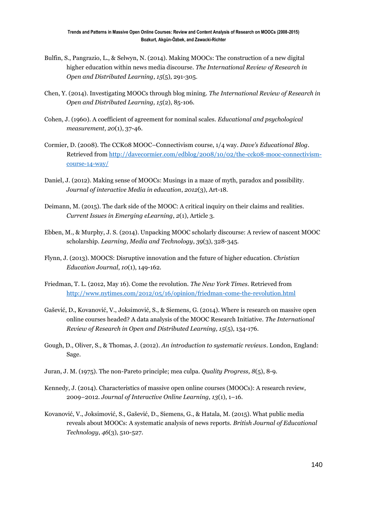- Bulfin, S., Pangrazio, L., & Selwyn, N. (2014). Making MOOCs: The construction of a new digital higher education within news media discourse. *The International Review of Research in Open and Distributed Learning*, *15*(5), 291-305.
- Chen, Y. (2014). Investigating MOOCs through blog mining. *The International Review of Research in Open and Distributed Learning, 15*(2), 85-106.
- Cohen, J. (1960). A coefficient of agreement for nominal scales. *Educational and psychological measurement*, *20*(1), 37-46.
- Cormier, D. (2008). The CCK08 MOOC–Connectivism course, 1/4 way. *Dave's Educational Blog*. Retrieved from [http://davecormier.com/edblog/2008/10/02/the-cck08-mooc-connectivism](http://davecormier.com/edblog/2008/10/02/the-cck08-mooc-connectivism-course-14-way/)[course-14-way/](http://davecormier.com/edblog/2008/10/02/the-cck08-mooc-connectivism-course-14-way/)
- Daniel, J. (2012). Making sense of MOOCs: Musings in a maze of myth, paradox and possibility. *Journal of interactive Media in education*, *2012*(3), Art-18.
- Deimann, M. (2015). The dark side of the MOOC: A critical inquiry on their claims and realities. *Current Issues in Emerging eLearning*, *2*(1), Article 3.
- Ebben, M., & Murphy, J. S. (2014). Unpacking MOOC scholarly discourse: A review of nascent MOOC scholarship. *Learning, Media and Technology*, *39*(3), 328-345.
- Flynn, J. (2013). MOOCS: Disruptive innovation and the future of higher education. *Christian Education Journal*, *10*(1), 149-162.
- Friedman, T. L. (2012, May 16). Come the revolution. *The New York Times*. Retrieved from <http://www.nytimes.com/2012/05/16/opinion/friedman-come-the-revolution.html>
- Gašević, D., Kovanović, V., Joksimović, S., & Siemens, G. (2014). Where is research on massive open online courses headed? A data analysis of the MOOC Research Initiative. *The International Review of Research in Open and Distributed Learning, 15*(5), 134-176.
- Gough, D., Oliver, S., & Thomas, J. (2012). *An introduction to systematic reviews*. London, England: Sage.
- Juran, J. M. (1975). The non-Pareto principle; mea culpa. *Quality Progress, 8*(5), 8-9.
- Kennedy, J. (2014). Characteristics of massive open online courses (MOOCs): A research review, 2009–2012. *Journal of Interactive Online Learning, 13*(1), 1–16.
- Kovanović, V., Joksimović, S., Gašević, D., Siemens, G., & Hatala, M. (2015). What public media reveals about MOOCs: A systematic analysis of news reports. *British Journal of Educational Technology*, *46*(3), 510-527.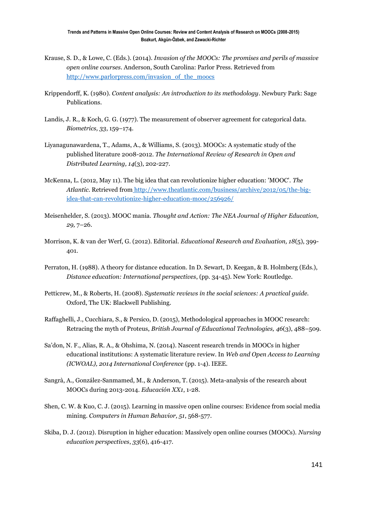- Krause, S. D., & Lowe, C. (Eds.). (2014). *Invasion of the MOOCs: The promises and perils of massive open online courses*. Anderson, South Carolina: Parlor Press. Retrieved from [http://www.parlorpress.com/invasion\\_of\\_the\\_moocs](http://www.parlorpress.com/invasion_of_the_moocs)
- Krippendorff, K. (1980). *Content analysis: An introduction to its methodology*. Newbury Park: Sage Publications.
- Landis, J. R., & Koch, G. G. (1977). The measurement of observer agreement for categorical data. *Biometrics, 33*, 159–174.
- Liyanagunawardena, T., Adams, A., & Williams, S. (2013). MOOCs: A systematic study of the published literature 2008-2012. *The International Review of Research in Open and Distributed Learning, 14*(3), 202-227.
- McKenna, L. (2012, May 11). The big idea that can revolutionize higher education: 'MOOC'. *The Atlantic.* Retrieved from [http://www.theatlantic.com/business/archive/2012/05/the-big](http://www.theatlantic.com/business/archive/2012/05/the-big-idea-that-can-revolutionize-higher-education-mooc/256926/)[idea-that-can-revolutionize-higher-education-mooc/256926/](http://www.theatlantic.com/business/archive/2012/05/the-big-idea-that-can-revolutionize-higher-education-mooc/256926/)
- Meisenhelder, S. (2013). MOOC mania. *Thought and Action: The NEA Journal of Higher Education, 29,* 7–26.
- Morrison, K. & van der Werf, G. (2012). Editorial. *Educational Research and Evaluation, 18*(5), 399- 401.
- Perraton, H. (1988). A theory for distance education. In D. Sewart, D. Keegan, & B. Holmberg (Eds.), *Distance education: International perspectives*, (pp. 34-45). New York: Routledge.
- Petticrew, M., & Roberts, H. (2008). *Systematic reviews in the social sciences: A practical guide.* Oxford, The UK: Blackwell Publishing.
- Raffaghelli, J., Cucchiara, S., & Persico, D. (2015), Methodological approaches in MOOC research: Retracing the myth of Proteus, *British Journal of Educational Technologies, 46*(3), 488–509.
- Sa'don, N. F., Alias, R. A., & Ohshima, N. (2014). Nascent research trends in MOOCs in higher educational institutions: A systematic literature review. In *Web and Open Access to Learning (ICWOAL), 2014 International Conference* (pp. 1-4). IEEE.
- Sangrà, A., González-Sanmamed, M., & Anderson, T. (2015). Meta-analysis of the research about MOOCs during 2013-2014. *Educación XX1*, 1-28.
- Shen, C. W. & Kuo, C. J. (2015). Learning in massive open online courses: Evidence from social media mining. *Computers in Human Behavior, 51*, 568-577.
- Skiba, D. J. (2012). Disruption in higher education: Massively open online courses (MOOCs). *Nursing education perspectives*, *33*(6), 416-417.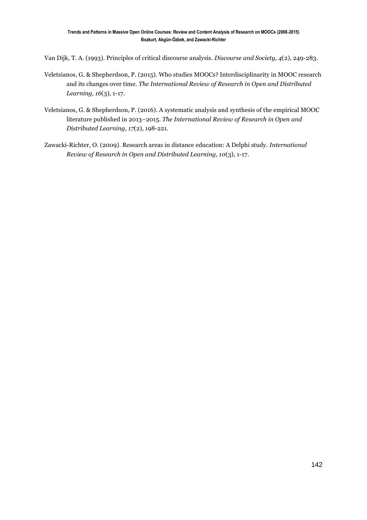Van Dijk, T. A. (1993). Principles of critical discourse analysis. *Discourse and Society, 4*(2), 249-283.

- Veletsianos, G. & Shepherdson, P. (2015). Who studies MOOCs? Interdisciplinarity in MOOC research and its changes over time. *The International Review of Research in Open and Distributed Learning, 16*(3), 1-17.
- Veletsianos, G. & Shepherdson, P. (2016). A systematic analysis and synthesis of the empirical MOOC literature published in 2013–2015. *The International Review of Research in Open and Distributed Learning, 17*(2), 198-221.
- Zawacki-Richter, O. (2009). Research areas in distance education: A Delphi study. *International Review of Research in Open and Distributed Learning, 10*(3), 1-17.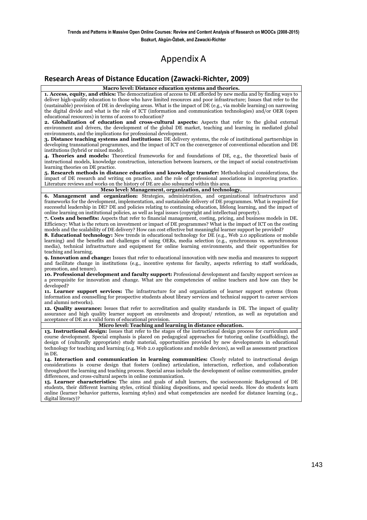## Appendix A

#### **Research Areas of Distance Education (Zawacki-Richter, 2009)**

**Macro level: Distance education systems and theories.**

**1. Access, equity, and ethics:** The democratization of access to DE afforded by new media and by finding ways to deliver high-quality education to those who have limited resources and poor infrastructure; Issues that refer to the (sustainable) provision of DE in developing areas. What is the impact of DE (e.g., via mobile learning) on narrowing the digital divide and what is the role of ICT (information and communication technologies) and/or OER (open educational resources) in terms of access to education?

**2. Globalization of education and cross-cultural aspects:** Aspects that refer to the global external environment and drivers, the development of the global DE market, teaching and learning in mediated global environments, and the implications for professional development.

**3. Distance teaching systems and institutions:** DE delivery systems, the role of institutional partnerships in developing transnational programmes, and the impact of ICT on the convergence of conventional education and DE institutions (hybrid or mixed mode).

**4. Theories and models:** Theoretical frameworks for and foundations of DE, e.g., the theoretical basis of instructional models, knowledge construction, interaction between learners, or the impact of social constructivism learning theories on DE practice.

**5. Research methods in distance education and knowledge transfer:** Methodological considerations, the impact of DE research and writing on practice, and the role of professional associations in improving practice. Literature reviews and works on the history of DE are also subsumed within this area.

#### **Meso level: Management, organization, and technology.**

**6. Management and organization:** Strategies, administration, and organizational infrastructures and frameworks for the development, implementation, and sustainable delivery of DE programmes. What is required for successful leadership in DE? DE and policies relating to continuing education, lifelong learning, and the impact of online learning on institutional policies, as well as legal issues (copyright and intellectual property).

**7. Costs and benefits:** Aspects that refer to financial management, costing, pricing, and business models in DE. Efficiency: What is the return on investment or impact of DE programmes? What is the impact of ICT on the costing models and the scalability of DE delivery? How can cost effective but meaningful learner support be provided?

**8. Educational technology:** New trends in educational technology for DE (e.g., Web 2.0 applications or mobile learning) and the benefits and challenges of using OERs, media selection (e.g., synchronous vs. asynchronous media), technical infrastructure and equipment for online learning environments, and their opportunities for teaching and learning.

**9. Innovation and change:** Issues that refer to educational innovation with new media and measures to support and facilitate change in institutions (e.g., incentive systems for faculty, aspects referring to staff workloads, promotion, and tenure).

**10. Professional development and faculty support:** Professional development and faculty support services as a prerequisite for innovation and change. What are the competencies of online teachers and how can they be developed?

**11. Learner support services:** The infrastructure for and organization of learner support systems (from information and counselling for prospective students about library services and technical support to career services and alumni networks).

**12. Quality assurance:** Issues that refer to accreditation and quality standards in DE. The impact of quality assurance and high quality learner support on enrolments and dropout/ retention, as well as reputation and acceptance of DE as a valid form of educational provision.

#### **Micro level: Teaching and learning in distance education.**

**13. Instructional design:** Issues that refer to the stages of the instructional design process for curriculum and course development. Special emphasis is placed on pedagogical approaches for tutoring online (scaffolding), the design of (culturally appropriate) study material, opportunities provided by new developments in educational technology for teaching and learning (e.g. Web 2.0 applications and mobile devices), as well as assessment practices in DE.

**14. Interaction and communication in learning communities:** Closely related to instructional design considerations is course design that fosters (online) articulation, interaction, reflection, and collaboration throughout the learning and teaching process. Special areas include the development of online communities, gender differences, and cross-cultural aspects in online communication.

**15. Learner characteristics:** The aims and goals of adult learners, the socioeconomic Background of DE students, their different learning styles, critical thinking dispositions, and special needs. How do students learn online (learner behavior patterns, learning styles) and what competencies are needed for distance learning (e.g., digital literacy)?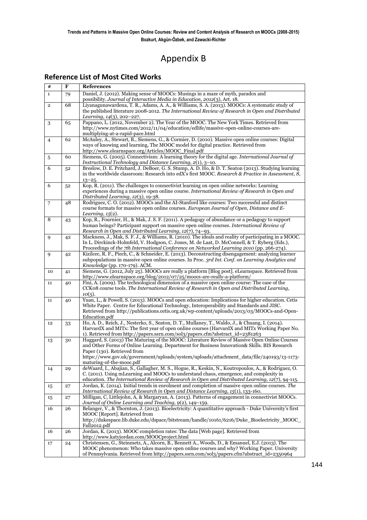## Appendix B

### **Reference List of Most Cited Works**

| $\#$           | F  | <b>References</b>                                                                                                                                                                                                                                                                                                                                     |
|----------------|----|-------------------------------------------------------------------------------------------------------------------------------------------------------------------------------------------------------------------------------------------------------------------------------------------------------------------------------------------------------|
| $\mathbf{1}$   | 79 | Daniel, J. (2012). Making sense of MOOCs: Musings in a maze of myth, paradox and<br>possibility. Journal of Interactive Media in Education, 2012(3), Art. 18.                                                                                                                                                                                         |
| $\overline{2}$ | 68 | Liyanagunawardena, T. R., Adams, A. A., & Williams, S. A. (2013). MOOCs: A systematic study of<br>the published literature 2008-2012. The International Review of Research in Open and Distributed<br>Learning, 14(3), 202-227.                                                                                                                       |
| 3              | 65 | Pappano, L. (2012, November 2). The Year of the MOOC. The New York Times. Retrieved from<br>http://www.nytimes.com/2012/11/04/education/edlife/massive-open-online-courses-are-<br>multiplying-at-a-rapid-pace.html                                                                                                                                   |
| 4              | 62 | McAuley, A., Stewart, B., Siemens, G., & Cormier, D. (2010). Massive open online courses: Digital<br>ways of knowing and learning, The MOOC model for digital practice. Retrieved from<br>http://www.elearnspace.org/Articles/MOOC_Final.pdf                                                                                                          |
| 5              | 60 | Siemens, G. (2005). Connectivism: A learning theory for the digital age. International Journal of<br>Instructional Technology and Distance Learning, 2(1), 3-10.                                                                                                                                                                                      |
| 6              | 52 | Breslow, D. E. Pritchard, J. DeBoer, G. S. Stump, A. D. Ho, & D. T. Seaton (2013). Studying learning<br>in the worldwide classroom: Research into edX's first MOOC. Research & Practice in Assessment, 8,<br>$13 - 25.$                                                                                                                               |
| 6              | 52 | Kop, R. (2011). The challenges to connectivist learning on open online networks: Learning<br>experiences during a massive open online course. International Review of Research in Open and<br>Distributed Learning, 12(3), 19-38.                                                                                                                     |
| 7              | 48 | Rodriguez, C.O. (2012). MOOCs and the AI-Stanford like courses: Two successful and distinct<br>course formats for massive open online courses. European Journal of Open, Distance and E-<br><i>Learning, 15</i> (2).                                                                                                                                  |
| 8              | 43 | Kop, R., Fournier, H., & Mak, J. S. F. (2011). A pedagogy of abundance or a pedagogy to support<br>human beings? Participant support on massive open online courses. International Review of<br>Research in Open and Distributed Learning, 12(7), 74-93.                                                                                              |
| 9              | 42 | Mackness, J., Mak, S. F. J., & Williams, R. (2010). The ideals and reality of participating in a MOOC.<br>In L. Dirckinck-Holmfeld, V. Hodgson, C. Jones, M. de Laat, D. McConnell, & T. Ryberg (Eds.),<br>Proceedings of the 7th International Conference on Networked Learning 2010 (pp. 266-274).                                                  |
| 9              | 42 | Kizilcec, R. F., Piech, C., & Schneider, E. (2013). Deconstructing disengagement: analyzing learner<br>subpopulations in massive open online courses. In Proc. 3rd Int. Conf. on Learning Analytics and<br>Knowledge (pp. 170-179). ACM.                                                                                                              |
| 10             | 41 | Siemens, G. (2012, July 25). MOOCs are really a platform [Blog post]. eLearnspace. Retrieved from<br>http://www.elearnspace.org/blog/2012/07/25/moocs-are-really-a-platform/                                                                                                                                                                          |
| 11             | 40 | Fini, A. (2009). The technological dimension of a massive open online course: The case of the<br>CCKo8 course tools. The International Review of Research in Open and Distributed Learning,<br>$10(5)$ .                                                                                                                                              |
| 11             | 40 | Yuan, L., & Powell, S. (2013). MOOCs and open education: Implications for higher education. Cetis<br>White Paper. Centre for Educational Technology, Interoperability and Standards and JISC.<br>Retrieved from http://publications.cetis.org.uk/wp-content/uploads/2013/03/MOOCs-and-Open-<br>Education.pdf                                          |
| 12             | 33 | Ho, A. D., Reich, J., Nesterko, S., Seaton, D. T., Mullaney, T., Waldo, J., & Chuang, I. (2014).<br>HarvardX and MITx: The first year of open online courses (HarvardX and MITx Working Paper No.<br>1). Retrieved from http://papers.ssrn.com/sol3/papers.cfm?abstract_id=2381263                                                                    |
| 13             | 30 | Haggard, S. (2013) The Maturing of the MOOC: Literature Review of Massive Open Online Courses<br>and Other Forms of Online Learning. Department for Business Innovation& Skills. BIS Research<br>Paper (130). Retrieved from<br>https://www.gov.uk/government/uploads/system/uploads/attachment_data/file/240193/13-1173-<br>maturing-of-the-mooc.pdf |
| 14             | 29 | deWaard, I., Abajian, S., Gallagher, M. S., Hogue, R., Keskin, N., Koutropoulos, A., & Rodriguez, O.<br>C. (2011). Using mLearning and MOOCs to understand chaos, emergence, and complexity in<br>education. The International Review of Research in Open and Distributed Learning, 12(7), 94-115.                                                    |
| 15             | 27 | Jordan, K. (2014). Initial trends in enrolment and completion of massive open online courses. The<br>International Review of Research in Open and Distance Learning, 15(1), 133-160.                                                                                                                                                                  |
| 15             | 27 | Milligan, C, Littlejohn, A, & Margaryan, A. (2013). Patterns of engagement in connectivist MOOCs.<br>Journal of Online Learning and Teaching, 9(2), 149-159.                                                                                                                                                                                          |
| 16             | 26 | Belanger, V., & Thornton, J. (2013). Bioelectricity: A quantitative approach - Duke University's first<br>MOOC [Report]. Retrieved from<br>http://dukespace.lib.duke.edu/dspace/bitstream/handle/10161/6216/Duke_Bioelectricity_MOOC_<br>Fall2012.pdf                                                                                                 |
| 16             | 26 | Jordan, K. (2013). MOOC completion rates: The data [Web page]. Retrieved from<br>http://www.katyjordan.com/MOOCproject.html                                                                                                                                                                                                                           |
| 17             | 24 | Christensen, G., Steinmetz, A., Alcorn, B., Bennett A., Woods, D., & Emanuel, E.J. (2013). The<br>MOOC phenomenon: Who takes massive open online courses and why? Working Paper. University<br>of Pennsylvania. Retrieved from http://papers.ssrn.com/sol3/papers.cfm?abstract_id=2350964                                                             |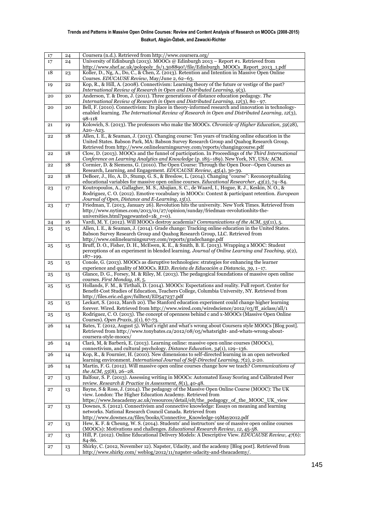| 17     | 24 | Coursera (n.d.). Retrieved from http://www.coursera.org/                                                                                                                                                       |
|--------|----|----------------------------------------------------------------------------------------------------------------------------------------------------------------------------------------------------------------|
| 17     | 24 | University of Edinburgh (2013). MOOCs @ Edinburgh 2013 - Report #1. Retrieved from<br>http://www.shef.ac.uk/polopoly_fs/1.308890!/file/Edinburgh_MOOCs_Report_2013_1.pdf                                       |
| $18\,$ | 23 | Koller, D., Ng, A., Do, C., & Chen, Z. (2013). Retention and Intention in Massive Open Online<br>Courses. EDUCAUSE Review, May/June 2, 62-63.                                                                  |
| 19     | 22 | Kop, R., & Hill, A. (2008). Connectivism: Learning theory of the future or vestige of the past?<br>International Review of Research in Open and Distributed Learning, 9(3).                                    |
| 20     | 20 | Anderson, T. & Dron, J. (2011). Three generations of distance education pedagogy. The<br>International Review of Research in Open and Distributed Learning, 12(3), 80 - 97.                                    |
| 20     | 20 | Bell, F. (2010). Connectivism: Its place in theory-informed research and innovation in technology-                                                                                                             |
|        |    | enabled learning. The International Review of Research in Open and Distributed Learning, 12(3),<br>$98 - 118$                                                                                                  |
| 21     | 19 | Kolowich, S. (2013). The professors who make the MOOCs. Chronicle of Higher Education, 59(28),<br>A20-A23.                                                                                                     |
| 22     | 18 | Allen, I. E., & Seaman, J. (2013). Changing course: Ten years of tracking online education in the<br>United States. Babson Park, MA: Babson Survey Research Group and Quahog Research Group.                   |
| 22     | 18 | Retrieved from http://www.onlinelearningsurvey.com/reports/changingcourse.pdf<br>Clow, D. (2013). MOOCs and the funnel of participation. In Proceedings of the Third International                             |
|        |    | Conference on Learning Analytics and Knowledge (p. 185-189). New York, NY, USA: ACM.                                                                                                                           |
| 22     | 18 | Cormier, D. & Siemens, G. (2010). The Open Course: Through the Open Door--Open Courses as<br>Research, Learning, and Engagement. EDUCAUSE Review, 45(4), 30-39.                                                |
| 22     | 18 | DeBoer, J., Ho, A. D., Stump, G. S., & Breslow, L. (2014). Changing "course": Reconceptualizing                                                                                                                |
| 23     | 17 | educational variables for massive open online courses. <i>Educational Researcher</i> , $43(2)$ , $74-84$ .<br>Koutropoulos, A., Gallagher, M. S., Abajian, S. C., de Waard, I., Hogue, R. J., Keskin, N. O., & |
|        |    | Rodriguez, C. O. (2012). Emotive vocabulary in MOOCs: Context & participant retention. European                                                                                                                |
|        |    | Journal of Open, Distance and E-Learning, 15(1).<br>Friedman, T. (2013, January 26). Revolution hits the university. New York Times. Retrieved from                                                            |
| 23     | 17 | http://www.nytimes.com/2013/01/27/opinion/sunday/friedman-revolutionhits-the-                                                                                                                                  |
|        |    | universities.html?pagewanted=1&_r=0).                                                                                                                                                                          |
| 24     | 16 | Vardi, M.Y. (2012). Will MOOCs destroy academia? Communications of the ACM, 55(11), 5.                                                                                                                         |
| 25     | 15 | Allen, I. E., & Seaman, J. (2014). Grade change: Tracking online education in the United States.<br>Babson Survey Research Group and Quahog Research Group, LLC. Retrieved from                                |
|        |    | http://www.onlinelearningsurvey.com/reports/gradechange.pdf                                                                                                                                                    |
| 25     | 15 | Bruff, D. O., Fisher, D. H., McEwen, K. E., & Smith, B. E. (2013). Wrapping a MOOC: Student                                                                                                                    |
|        |    | perceptions of an experiment in blended learning. Journal of Online Learning and Teaching, 9(2),<br>$187 - 199.$                                                                                               |
| 25     | 15 | Conole, G. (2013). MOOCs as disruptive technologies: strategies for enhancing the learner<br>experience and quality of MOOCs. RED. Revista de Educación a Distancia, 39, 1-17.                                 |
| 25     | 15 | Glance, D. G., Forsey, M. & Riley, M. (2013). The pedagogical foundations of massive open online<br>courses. First Monday, 18, 5.                                                                              |
| 25     | 15 | Hollands, F. M., & Tirthali, D. (2014). MOOCs: Expectations and reality. Full report. Center for                                                                                                               |
|        |    | Benefit-Cost Studies of Education, Teachers College, Columbia University, NY. Retrieved from                                                                                                                   |
| 25     | 15 | http://files.eric.ed.gov/fulltext/ED547237.pdf<br>Leckart, S. (2012, March 20). The Stanford education experiment could change higher learning                                                                 |
|        |    | forever. Wired. Retrieved from http://www.wired.com/wiredscience/2012/03/ff_aiclass/all/1                                                                                                                      |
| 25     | 15 | Rodriguez, C. O. (2013). The concept of openness behind c and x-MOOCs (Massive Open Online<br>Courses). Open Praxis, 5(1), 67-73.                                                                              |
| 26     | 14 | Bates, T. (2012, August 5). What's right and what's wrong about Coursera style MOOCs [Blog post].                                                                                                              |
|        |    | Retrieved from http://www.tonybates.ca/2012/08/05/whatsright- and-whats-wrong-about-<br>coursera-style-moocs/                                                                                                  |
| 26     | 14 | Clarà, M, & Barberà, E. (2013). Learning online: massive open online courses (MOOCs),<br>connectivism, and cultural psychology. Distance Education, 34(1), 129-136.                                            |
| 26     | 14 | Kop, R., & Fournier, H. (2010). New dimensions to self-directed learning in an open networked<br>learning environment. International Journal of Self-Directed Learning, 7(2), 2-20.                            |
| 26     | 14 | Martin, F. G. (2012). Will massive open online courses change how we teach? Communications of<br>the ACM, $55(8)$ , 26-28.                                                                                     |
| 27     | 13 | Balfour, S. P. (2013). Assessing writing in MOOCs: Automated Essay Scoring and Calibrated Peer<br>review. Research & Practice in Assessment, 8(1), 40-48.                                                      |
| 27     | 13 | Bayne, S & Ross, J. (2014). The pedagogy of the Massive Open Online Course (MOOC): The UK<br>view. London: The Higher Education Academy. Retrieved from                                                        |
|        |    | https://www.heacademy.ac.uk/resources/detail/elt/the_pedagogy_of_the_MOOC_UK_view                                                                                                                              |
| 27     | 13 | Downes, S. (2012). Connectivism and connective knowledge: Essays on meaning and learning<br>networks. National Research Council Canada. Retrieved from                                                         |
|        |    | http://www.downes.ca/files/books/Connective_Knowledge-19May2012.pdf                                                                                                                                            |
| 27     | 13 | Hew, K. F. & Cheung, W. S. (2014). Students' and instructors' use of massive open online courses<br>(MOOCs): Motivations and challenges. Educational Research Review, 12, 45-58.                               |
| 27     | 13 | Hill, P. (2012). Online Educational Delivery Models: A Descriptive View. EDUCAUSE Review, 47(6):<br>84-86.                                                                                                     |
| 27     | 13 | Shirky, C. (2012, November 12). Napster, Udacity, and the academy [Blog post]. Retrieved from                                                                                                                  |
|        |    | http://www.shirky.com/weblog/2012/11/napster-udacity-and-theacademy/.                                                                                                                                          |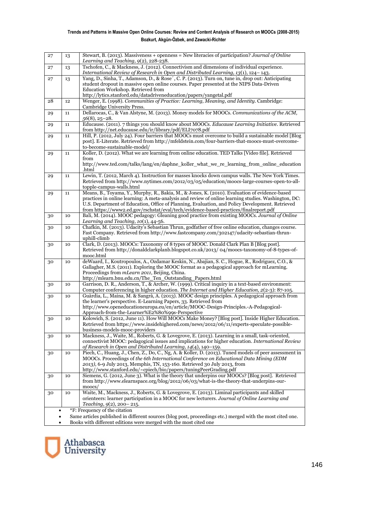| 27                                 | 13 | Stewart, B. (2013). Massiveness + openness = New literacies of participation? Journal of Online<br>Learning and Teaching, 9(2), 228-238.                                                               |  |  |  |
|------------------------------------|----|--------------------------------------------------------------------------------------------------------------------------------------------------------------------------------------------------------|--|--|--|
| 27                                 | 13 | Tschofen, C., & Mackness, J. (2012). Connectivism and dimensions of individual experience.                                                                                                             |  |  |  |
|                                    |    | International Review of Research in Open and Distributed Learning, 13(1), 124–143.                                                                                                                     |  |  |  |
| 27                                 | 13 | Yang, D., Sinha, T., Adamson, D., & Rose', C. P. (2013). Turn on, tune in, drop out: Anticipating                                                                                                      |  |  |  |
|                                    |    | student dropout in massive open online courses. Paper presented at the NIPS Data-Driven                                                                                                                |  |  |  |
|                                    |    | Education Workshop. Retrieved from                                                                                                                                                                     |  |  |  |
| 28                                 | 12 | http://lytics.stanford.edu/datadriveneducation/papers/yangetal.pdf<br>Wenger, E. (1998). Communities of Practice: Learning, Meaning, and Identity. Cambridge:                                          |  |  |  |
|                                    |    | Cambridge University Press.                                                                                                                                                                            |  |  |  |
| 29                                 | 11 | Dellarocas, C., & Van Alstyne, M. (2013). Money models for MOOCs. Communications of the ACM,                                                                                                           |  |  |  |
|                                    |    | $56(8)$ , 25-28.                                                                                                                                                                                       |  |  |  |
| 29                                 | 11 | Educause. (2011). 7 things you should know about MOOCs. Educause Learning Initiative. Retrieved                                                                                                        |  |  |  |
|                                    |    | from http://net.educause.edu/ir/library/pdf/ELI7078.pdf                                                                                                                                                |  |  |  |
| 29                                 | 11 | Hill, P. (2012, July 24). Four barriers that MOOCs must overcome to build a sustainable model [Blog<br>post]. E-Literate. Retrieved from http://mfeldstein.com/four-barriers-that-moocs-must-overcome- |  |  |  |
|                                    |    | to-become-sustainable-model/                                                                                                                                                                           |  |  |  |
| 29                                 | 11 | Koller, D. (2012). What we are learning from online education. TED Talks [Video file]. Retrieved                                                                                                       |  |  |  |
|                                    |    | from                                                                                                                                                                                                   |  |  |  |
|                                    |    | http://www.ted.com/talks/lang/en/daphne_koller_what_we_re_learning_from_online_education                                                                                                               |  |  |  |
|                                    |    | .html                                                                                                                                                                                                  |  |  |  |
| 29                                 | 11 | Lewin, T. (2012, March 4). Instruction for masses knocks down campus walls. The New York Times.                                                                                                        |  |  |  |
|                                    |    | Retrieved from http://www.nytimes.com/2012/03/05/education/moocs-large-courses-open-to-all-<br>topple-campus-walls.html                                                                                |  |  |  |
| 29                                 | 11 | Means, B., Toyama, Y., Murphy, R., Bakia, M., & Jones, K. (2010). Evaluation of evidence-based                                                                                                         |  |  |  |
|                                    |    | practices in online learning: A meta-analysis and review of online learning studies. Washington, DC:                                                                                                   |  |  |  |
|                                    |    | U.S. Department of Education, Office of Planning, Evaluation, and Policy Development. Retrieved                                                                                                        |  |  |  |
|                                    |    | from https://www2.ed.gov/rschstat/eval/tech/evidence-based-practices/finalreport.pdf                                                                                                                   |  |  |  |
| 30                                 | 10 | Bali, M. (2014). MOOC pedagogy: Gleaning good practice from existing MOOCs. Journal of Online                                                                                                          |  |  |  |
|                                    |    | Learning and Teaching, $10(1)$ , 44-56.<br>Chafkin, M. (2013). Udacity's Sebastian Thrun, godfather of free online education, changes course.                                                          |  |  |  |
| 30                                 | 10 | Fast Company. Retrieved from http://www.fastcompany.com/302147/udacity-sebastian-thrun-                                                                                                                |  |  |  |
|                                    |    | uphill-climb                                                                                                                                                                                           |  |  |  |
| 30                                 | 10 | Clark, D. (2013). MOOCs: Taxonomy of 8 types of MOOC. Donald Clark Plan B [Blog post].                                                                                                                 |  |  |  |
|                                    |    | Retrieved from http://donaldclarkplanb.blogspot.co.uk/2013/04/moocs-taxonomy-of-8-types-of-                                                                                                            |  |  |  |
|                                    |    | mooc.html                                                                                                                                                                                              |  |  |  |
| 30                                 | 10 | deWaard, I., Koutropoulos, A., Ozdamar Keskin, N., Abajian, S. C., Hogue, R., Rodriguez, C.O., &                                                                                                       |  |  |  |
|                                    |    | Gallagher, M.S. (2011). Exploring the MOOC format as a pedagogical approach for mLearning.<br>Proceedings from <i>mLearn 2011</i> , Beijing, China.                                                    |  |  |  |
|                                    |    | http://mlearn.bnu.edu.cn/The_Ten_Outstanding_Papers.html                                                                                                                                               |  |  |  |
| 30                                 | 10 | Garrison, D. R., Anderson, T., & Archer, W. (1999). Critical inquiry in a text-based environment:                                                                                                      |  |  |  |
|                                    |    | Computer conferencing in higher education. The Internet and Higher Education, 2(2-3): 87-105.                                                                                                          |  |  |  |
| 30                                 | 10 | Guàrdia, L., Maina, M. & Sangrà, A. (2013). MOOC design principles. A pedagogical approach from                                                                                                        |  |  |  |
|                                    |    | the learner's perspective. E-Learning Papers, 33. Retrieved from<br>http://www.openeducationeuropa.eu/en/article/MOOC-Design-Principles.-A-Pedagogical-                                                |  |  |  |
|                                    |    | Approach-from-the-Learner%E2%80%99s-Perspective                                                                                                                                                        |  |  |  |
| 30                                 | 10 | Kolowich, S. (2012, June 11). How Will MOOCs Make Money? [Blog post]. Inside Higher Education.                                                                                                         |  |  |  |
|                                    |    | Retrieved from https://www.insidehighered.com/news/2012/06/11/experts-speculate-possible-                                                                                                              |  |  |  |
|                                    |    | business-models-mooc-providers                                                                                                                                                                         |  |  |  |
| 30                                 | 10 | Mackness, J., Waite, M., Roberts, G. & Lovegrove, E. (2013). Learning in a small, task-oriented,                                                                                                       |  |  |  |
|                                    |    | connectivist MOOC: pedagogical issues and implications for higher education. International Review                                                                                                      |  |  |  |
|                                    | 10 | of Research in Open and Distributed Learning, 14(4), 140-159.<br>Piech, C., Huang, J., Chen, Z., Do, C., Ng, A. & Koller, D. (2013). Tuned models of peer assessment in                                |  |  |  |
| 30                                 |    | MOOCs. Proceedings of the 6th International Conference on Educational Data Mining (EDM                                                                                                                 |  |  |  |
|                                    |    | 2013), 6-9 July 2013, Memphis, TN, 153-160. Retrieved 30 July 2013, from                                                                                                                               |  |  |  |
|                                    |    | http://www.stanford.edu/~cpiech/bio/papers/tuningPeerGrading.pdf                                                                                                                                       |  |  |  |
| 30                                 | 10 | Siemens, G. (2012, June 3). What is the theory that underpins our MOOCs? [Blog post]. Retrieved                                                                                                        |  |  |  |
|                                    |    | from http://www.elearnspace.org/blog/2012/06/03/what-is-the-theory-that-underpins-our-                                                                                                                 |  |  |  |
| 30                                 | 10 | $\text{moocs}/$<br>Waite, M., Mackness, J., Roberts, G. & Lovegrove, E. (2013). Liminal participants and skilled                                                                                       |  |  |  |
|                                    |    | orienteers: learner participation in a MOOC for new lecturers. Journal of Online Learning and                                                                                                          |  |  |  |
|                                    |    | Teaching, $9(2)$ , 200-215.                                                                                                                                                                            |  |  |  |
| *F: Frequency of the citation<br>٠ |    |                                                                                                                                                                                                        |  |  |  |
|                                    |    | Same articles published in different sources (blog post, proceedings etc.) merged with the most cited one.                                                                                             |  |  |  |
| ٠                                  |    | Books with different editions were merged with the most cited one                                                                                                                                      |  |  |  |